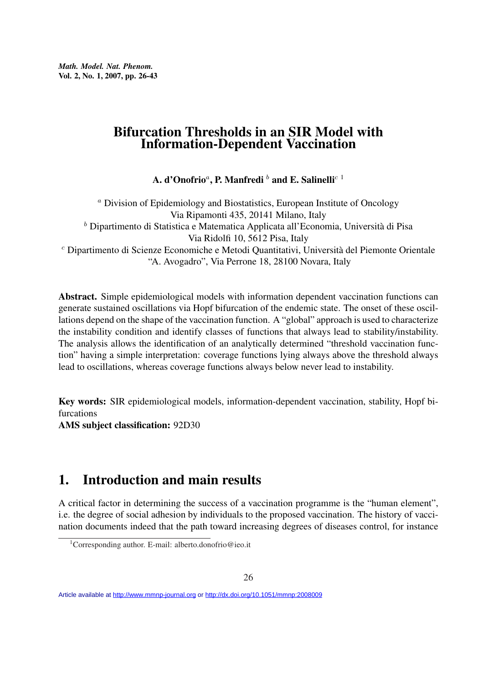*Math. Model. Nat. Phenom.* Vol. 2, No. 1, 2007, pp. 26-43

#### Bifurcation Thresholds in an SIR Model with Information-Dependent Vaccination

A. d'Onofrio ${}^a,$  P. Manfredi  ${}^b$  and E. Salinelli ${}^{c\;1}$ 

<sup>a</sup> Division of Epidemiology and Biostatistics, European Institute of Oncology Via Ripamonti 435, 20141 Milano, Italy  $<sup>b</sup>$  Dipartimento di Statistica e Matematica Applicata all'Economia, Università di Pisa</sup> Via Ridolfi 10, 5612 Pisa, Italy <sup>c</sup> Dipartimento di Scienze Economiche e Metodi Quantitativi, Universita del Piemonte Orientale ` "A. Avogadro", Via Perrone 18, 28100 Novara, Italy

Abstract. Simple epidemiological models with information dependent vaccination functions can generate sustained oscillations via Hopf bifurcation of the endemic state. The onset of these oscillations depend on the shape of the vaccination function. A "global" approach is used to characterize the instability condition and identify classes of functions that always lead to stability/instability. The analysis allows the identification of an analytically determined "threshold vaccination function" having a simple interpretation: coverage functions lying always above the threshold always lead to oscillations, whereas coverage functions always below never lead to instability.

Key words: SIR epidemiological models, information-dependent vaccination, stability, Hopf bifurcations AMS subject classification: 92D30

# 1. Introduction and main results

A critical factor in determining the success of a vaccination programme is the "human element", i.e. the degree of social adhesion by individuals to the proposed vaccination. The history of vaccination documents indeed that the path toward increasing degrees of diseases control, for instance

<sup>1</sup>Corresponding author. E-mail: alberto.donofrio@ieo.it

Article available at<http://www.mmnp-journal.org> or <http://dx.doi.org/10.1051/mmnp:2008009>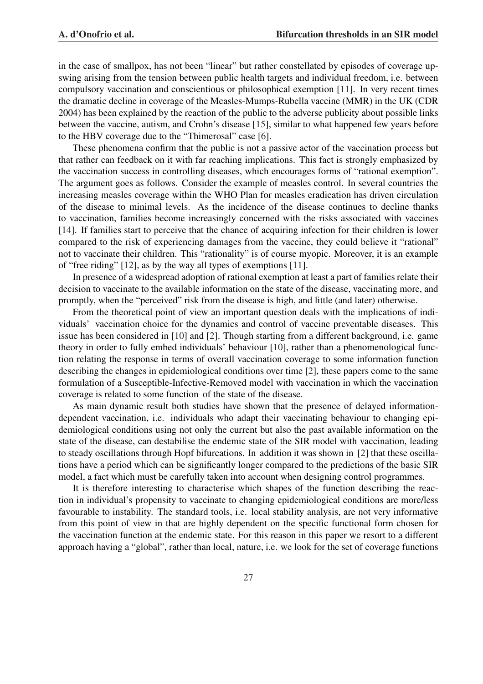in the case of smallpox, has not been "linear" but rather constellated by episodes of coverage upswing arising from the tension between public health targets and individual freedom, i.e. between compulsory vaccination and conscientious or philosophical exemption [11]. In very recent times the dramatic decline in coverage of the Measles-Mumps-Rubella vaccine (MMR) in the UK (CDR 2004) has been explained by the reaction of the public to the adverse publicity about possible links between the vaccine, autism, and Crohn's disease [15], similar to what happened few years before to the HBV coverage due to the "Thimerosal" case [6].

These phenomena confirm that the public is not a passive actor of the vaccination process but that rather can feedback on it with far reaching implications. This fact is strongly emphasized by the vaccination success in controlling diseases, which encourages forms of "rational exemption". The argument goes as follows. Consider the example of measles control. In several countries the increasing measles coverage within the WHO Plan for measles eradication has driven circulation of the disease to minimal levels. As the incidence of the disease continues to decline thanks to vaccination, families become increasingly concerned with the risks associated with vaccines [14]. If families start to perceive that the chance of acquiring infection for their children is lower compared to the risk of experiencing damages from the vaccine, they could believe it "rational" not to vaccinate their children. This "rationality" is of course myopic. Moreover, it is an example of "free riding" [12], as by the way all types of exemptions [11].

In presence of a widespread adoption of rational exemption at least a part of families relate their decision to vaccinate to the available information on the state of the disease, vaccinating more, and promptly, when the "perceived" risk from the disease is high, and little (and later) otherwise.

From the theoretical point of view an important question deals with the implications of individuals' vaccination choice for the dynamics and control of vaccine preventable diseases. This issue has been considered in [10] and [2]. Though starting from a different background, i.e. game theory in order to fully embed individuals' behaviour [10], rather than a phenomenological function relating the response in terms of overall vaccination coverage to some information function describing the changes in epidemiological conditions over time [2], these papers come to the same formulation of a Susceptible-Infective-Removed model with vaccination in which the vaccination coverage is related to some function of the state of the disease.

As main dynamic result both studies have shown that the presence of delayed informationdependent vaccination, i.e. individuals who adapt their vaccinating behaviour to changing epidemiological conditions using not only the current but also the past available information on the state of the disease, can destabilise the endemic state of the SIR model with vaccination, leading to steady oscillations through Hopf bifurcations. In addition it was shown in [2] that these oscillations have a period which can be significantly longer compared to the predictions of the basic SIR model, a fact which must be carefully taken into account when designing control programmes.

It is therefore interesting to characterise which shapes of the function describing the reaction in individual's propensity to vaccinate to changing epidemiological conditions are more/less favourable to instability. The standard tools, i.e. local stability analysis, are not very informative from this point of view in that are highly dependent on the specific functional form chosen for the vaccination function at the endemic state. For this reason in this paper we resort to a different approach having a "global", rather than local, nature, i.e. we look for the set of coverage functions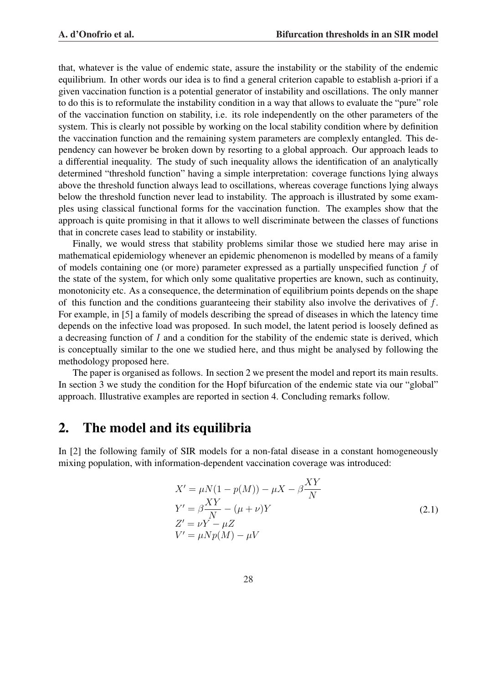that, whatever is the value of endemic state, assure the instability or the stability of the endemic equilibrium. In other words our idea is to find a general criterion capable to establish a-priori if a given vaccination function is a potential generator of instability and oscillations. The only manner to do this is to reformulate the instability condition in a way that allows to evaluate the "pure" role of the vaccination function on stability, i.e. its role independently on the other parameters of the system. This is clearly not possible by working on the local stability condition where by definition the vaccination function and the remaining system parameters are complexly entangled. This dependency can however be broken down by resorting to a global approach. Our approach leads to a differential inequality. The study of such inequality allows the identification of an analytically determined "threshold function" having a simple interpretation: coverage functions lying always above the threshold function always lead to oscillations, whereas coverage functions lying always below the threshold function never lead to instability. The approach is illustrated by some examples using classical functional forms for the vaccination function. The examples show that the approach is quite promising in that it allows to well discriminate between the classes of functions that in concrete cases lead to stability or instability.

Finally, we would stress that stability problems similar those we studied here may arise in mathematical epidemiology whenever an epidemic phenomenon is modelled by means of a family of models containing one (or more) parameter expressed as a partially unspecified function f of the state of the system, for which only some qualitative properties are known, such as continuity, monotonicity etc. As a consequence, the determination of equilibrium points depends on the shape of this function and the conditions guaranteeing their stability also involve the derivatives of f. For example, in [5] a family of models describing the spread of diseases in which the latency time depends on the infective load was proposed. In such model, the latent period is loosely defined as a decreasing function of I and a condition for the stability of the endemic state is derived, which is conceptually similar to the one we studied here, and thus might be analysed by following the methodology proposed here.

The paper is organised as follows. In section 2 we present the model and report its main results. In section 3 we study the condition for the Hopf bifurcation of the endemic state via our "global" approach. Illustrative examples are reported in section 4. Concluding remarks follow.

## 2. The model and its equilibria

In [2] the following family of SIR models for a non-fatal disease in a constant homogeneously mixing population, with information-dependent vaccination coverage was introduced:

$$
X' = \mu N(1 - p(M)) - \mu X - \beta \frac{XY}{N}
$$
  
\n
$$
Y' = \beta \frac{XY}{N} - (\mu + \nu)Y
$$
  
\n
$$
Z' = \nu Y - \mu Z
$$
  
\n
$$
V' = \mu N p(M) - \mu V
$$
\n(2.1)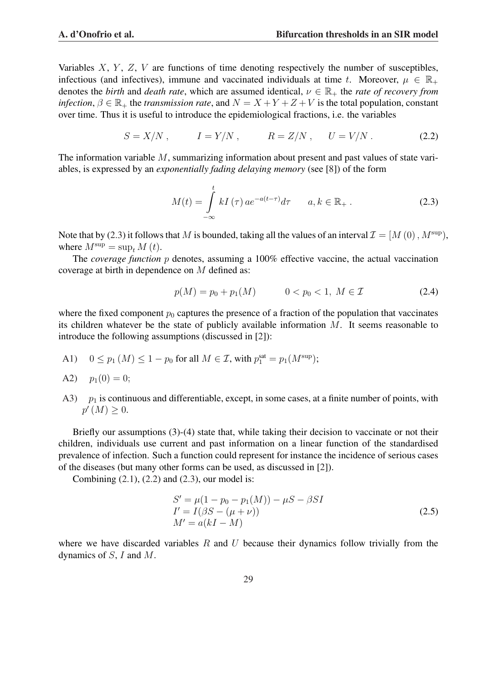Variables  $X, Y, Z, V$  are functions of time denoting respectively the number of susceptibles, infectious (and infectives), immune and vaccinated individuals at time t. Moreover,  $\mu \in \mathbb{R}_+$ denotes the *birth* and *death rate*, which are assumed identical,  $\nu \in \mathbb{R}_+$  the *rate of recovery from infection*,  $\beta \in \mathbb{R}_+$  the *transmission rate*, and  $N = X + Y + Z + V$  is the total population, constant over time. Thus it is useful to introduce the epidemiological fractions, i.e. the variables

$$
S = X/N, \qquad I = Y/N, \qquad R = Z/N, \qquad U = V/N. \tag{2.2}
$$

The information variable M, summarizing information about present and past values of state variables, is expressed by an *exponentially fading delaying memory* (see [8]) of the form

$$
M(t) = \int_{-\infty}^{t} kI(\tau) \, a e^{-a(t-\tau)} d\tau \qquad a, k \in \mathbb{R}_{+} \,. \tag{2.3}
$$

Note that by (2.3) it follows that M is bounded, taking all the values of an interval  $\mathcal{I} = [M(0), M^{\text{sup}})$ , where  $M^{\text{sup}} = \sup_{t} M(t)$ .

The *coverage function* p denotes, assuming a 100% effective vaccine, the actual vaccination coverage at birth in dependence on M defined as:

$$
p(M) = p_0 + p_1(M) \qquad \qquad 0 < p_0 < 1, \ M \in \mathcal{I} \tag{2.4}
$$

where the fixed component  $p_0$  captures the presence of a fraction of the population that vaccinates its children whatever be the state of publicly available information  $M$ . It seems reasonable to introduce the following assumptions (discussed in [2]):

A1)  $0 \le p_1(M) \le 1 - p_0$  for all  $M \in \mathcal{I}$ , with  $p_1^{\text{sat}} = p_1(M^{\text{sup}})$ ;

A2) 
$$
p_1(0) = 0;
$$

A3)  $p_1$  is continuous and differentiable, except, in some cases, at a finite number of points, with  $p'(M) \geq 0.$ 

Briefly our assumptions (3)-(4) state that, while taking their decision to vaccinate or not their children, individuals use current and past information on a linear function of the standardised prevalence of infection. Such a function could represent for instance the incidence of serious cases of the diseases (but many other forms can be used, as discussed in [2]).

Combining  $(2.1)$ ,  $(2.2)$  and  $(2.3)$ , our model is:

$$
S' = \mu(1 - p_0 - p_1(M)) - \mu S - \beta SI \nI' = I(\beta S - (\mu + \nu)) \nM' = a(kI - M)
$$
\n(2.5)

where we have discarded variables  $R$  and  $U$  because their dynamics follow trivially from the dynamics of S, I and M.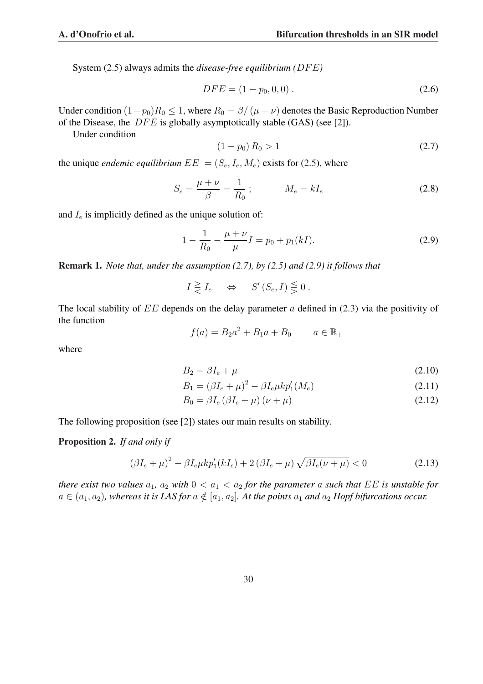System (2.5) always admits the *disease-free equilibrium* (DFE)

$$
DFE = (1 - p_0, 0, 0). \tag{2.6}
$$

Under condition  $(1-p_0)R_0 \leq 1$ , where  $R_0 = \frac{\beta}{\mu + \nu}$  denotes the Basic Reproduction Number of the Disease, the  $DFE$  is globally asymptotically stable (GAS) (see [2]).

Under condition

$$
(1 - p_0) R_0 > 1 \tag{2.7}
$$

the unique *endemic equilibrium*  $EE = (S_e, I_e, M_e)$  exists for (2.5), where

$$
S_e = \frac{\mu + \nu}{\beta} = \frac{1}{R_0} ; \qquad \qquad M_e = kI_e \tag{2.8}
$$

and  $I_e$  is implicitly defined as the unique solution of:

$$
1 - \frac{1}{R_0} - \frac{\mu + \nu}{\mu} I = p_0 + p_1(kI). \tag{2.9}
$$

Remark 1. *Note that, under the assumption (2.7), by (2.5) and (2.9) it follows that*

$$
I \geq I_e \quad \Leftrightarrow \quad S'(S_e, I) \leq 0.
$$

The local stability of  $EE$  depends on the delay parameter a defined in (2.3) via the positivity of the function

$$
f(a) = B_2 a^2 + B_1 a + B_0 \qquad a \in \mathbb{R}_+
$$

where

$$
B_2 = \beta I_e + \mu \tag{2.10}
$$

$$
B_1 = (\beta I_e + \mu)^2 - \beta I_e \mu k p_1'(M_e)
$$
\n(2.11)

$$
B_0 = \beta I_e \left(\beta I_e + \mu\right) \left(\nu + \mu\right) \tag{2.12}
$$

The following proposition (see [2]) states our main results on stability.

#### Proposition 2. *If and only if*

$$
(\beta I_e + \mu)^2 - \beta I_e \mu k p_1'(kI_e) + 2(\beta I_e + \mu) \sqrt{\beta I_e(\nu + \mu)} < 0
$$
\n(2.13)

*there exist two values*  $a_1$ ,  $a_2$  *with*  $0 < a_1 < a_2$  *for the parameter* a *such that EE is unstable for*  $a \in (a_1, a_2)$ , whereas it is LAS for  $a \notin [a_1, a_2]$ . At the points  $a_1$  and  $a_2$  Hopf bifurcations occur.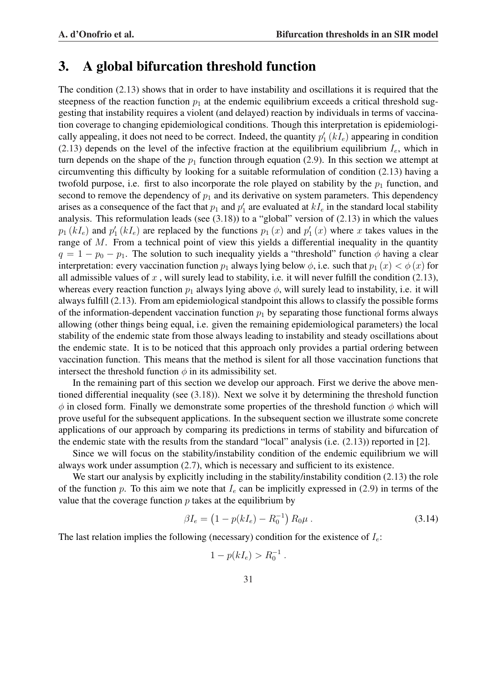## 3. A global bifurcation threshold function

The condition (2.13) shows that in order to have instability and oscillations it is required that the steepness of the reaction function  $p_1$  at the endemic equilibrium exceeds a critical threshold suggesting that instability requires a violent (and delayed) reaction by individuals in terms of vaccination coverage to changing epidemiological conditions. Though this interpretation is epidemiologically appealing, it does not need to be correct. Indeed, the quantity  $p'_1(kI_e)$  appearing in condition (2.13) depends on the level of the infective fraction at the equilibrium equilibrium  $I_e$ , which in turn depends on the shape of the  $p_1$  function through equation (2.9). In this section we attempt at circumventing this difficulty by looking for a suitable reformulation of condition (2.13) having a twofold purpose, i.e. first to also incorporate the role played on stability by the  $p_1$  function, and second to remove the dependency of  $p_1$  and its derivative on system parameters. This dependency arises as a consequence of the fact that  $p_1$  and  $p'_1$  are evaluated at  $kI_e$  in the standard local stability analysis. This reformulation leads (see (3.18)) to a "global" version of (2.13) in which the values  $p_1(kI_e)$  and  $p'_1(kI_e)$  are replaced by the functions  $p_1(x)$  and  $p'_1(x)$  where x takes values in the range of M. From a technical point of view this yields a differential inequality in the quantity  $q = 1 - p_0 - p_1$ . The solution to such inequality yields a "threshold" function  $\phi$  having a clear interpretation: every vaccination function  $p_1$  always lying below  $\phi$ , i.e. such that  $p_1 (x) < \phi (x)$  for all admissible values of  $x$ , will surely lead to stability, i.e. it will never fulfill the condition (2.13), whereas every reaction function  $p_1$  always lying above  $\phi$ , will surely lead to instability, i.e. it will always fulfill (2.13). From am epidemiological standpoint this allows to classify the possible forms of the information-dependent vaccination function  $p_1$  by separating those functional forms always allowing (other things being equal, i.e. given the remaining epidemiological parameters) the local stability of the endemic state from those always leading to instability and steady oscillations about the endemic state. It is to be noticed that this approach only provides a partial ordering between vaccination function. This means that the method is silent for all those vaccination functions that intersect the threshold function  $\phi$  in its admissibility set.

In the remaining part of this section we develop our approach. First we derive the above mentioned differential inequality (see (3.18)). Next we solve it by determining the threshold function  $\phi$  in closed form. Finally we demonstrate some properties of the threshold function  $\phi$  which will prove useful for the subsequent applications. In the subsequent section we illustrate some concrete applications of our approach by comparing its predictions in terms of stability and bifurcation of the endemic state with the results from the standard "local" analysis (i.e.  $(2.13)$ ) reported in [2].

Since we will focus on the stability/instability condition of the endemic equilibrium we will always work under assumption (2.7), which is necessary and sufficient to its existence.

We start our analysis by explicitly including in the stability/instability condition (2.13) the role of the function p. To this aim we note that  $I_e$  can be implicitly expressed in (2.9) in terms of the value that the coverage function  $p$  takes at the equilibrium by

$$
\beta I_e = \left(1 - p(kI_e) - R_0^{-1}\right) R_0 \mu . \tag{3.14}
$$

The last relation implies the following (necessary) condition for the existence of  $I_e$ :

$$
1 - p(kI_e) > R_0^{-1} .
$$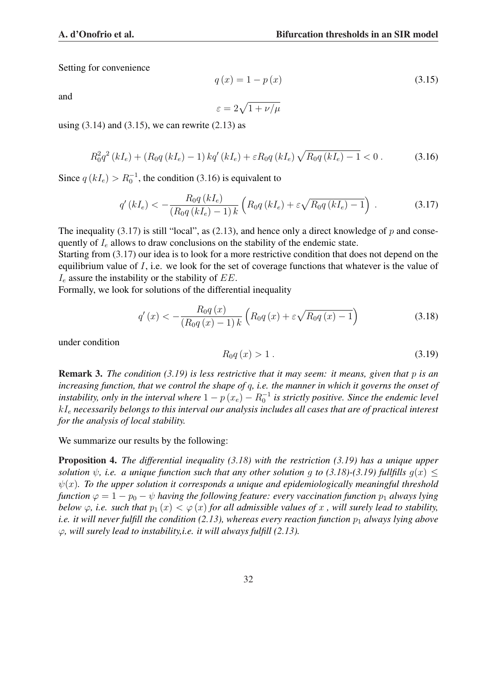$q(x) = 1 - p(x)$  (3.15)

Setting for convenience

and

$$
\varepsilon = 2\sqrt{1 + \nu/\mu}
$$

using  $(3.14)$  and  $(3.15)$ , we can rewrite  $(2.13)$  as

$$
R_0^2 q^2 (kI_e) + (R_0 q (kI_e) - 1) kq'(kI_e) + \varepsilon R_0 q (kI_e) \sqrt{R_0 q (kI_e) - 1} < 0.
$$
 (3.16)

Since  $q(kI_e) > R_0^{-1}$ , the condition (3.16) is equivalent to

$$
q'(kI_e) < -\frac{R_0 q(kI_e)}{(R_0 q(kI_e) - 1) k} \left( R_0 q(kI_e) + \varepsilon \sqrt{R_0 q(kI_e) - 1} \right) . \tag{3.17}
$$

The inequality (3.17) is still "local", as (2.13), and hence only a direct knowledge of  $p$  and consequently of  $I_e$  allows to draw conclusions on the stability of the endemic state.

Starting from (3.17) our idea is to look for a more restrictive condition that does not depend on the equilibrium value of I, i.e. we look for the set of coverage functions that whatever is the value of  $I_e$  assure the instability or the stability of  $EE$ .

Formally, we look for solutions of the differential inequality

$$
q'(x) < -\frac{R_0 q(x)}{(R_0 q(x) - 1) k} \left( R_0 q(x) + \varepsilon \sqrt{R_0 q(x) - 1} \right)
$$
 (3.18)

under condition

$$
R_0 q(x) > 1. \tag{3.19}
$$

Remark 3. *The condition (3.19) is less restrictive that it may seem: it means, given that* p *is an increasing function, that we control the shape of* q*, i.e. the manner in which it governs the onset of* instability, only in the interval where  $1-p\left(x_{e}\right)-R_{0}^{-1}$  is strictly positive. Since the endemic level kI<sup>e</sup> *necessarily belongs to this interval our analysis includes all cases that are of practical interest for the analysis of local stability.*

We summarize our results by the following:

Proposition 4. *The differential inequality (3.18) with the restriction (3.19) has a unique upper solution*  $\psi$ , *i.e.* a unique function such that any other solution g to (3.18)-(3.19) fullfills  $g(x) \leq$  $\psi(x)$ . To the upper solution it corresponds a unique and epidemiologically meaningful threshold *function*  $\varphi = 1 - p_0 - \psi$  *having the following feature: every vaccination function*  $p_1$  *always lying below*  $\varphi$ , *i.e.* such that  $p_1(x) < \varphi(x)$  for all admissible values of x, will surely lead to stability, *i.e. it will never fulfill the condition (2.13), whereas every reaction function*  $p_1$  *always lying above* ϕ*, will surely lead to instability,i.e. it will always fulfill (2.13).*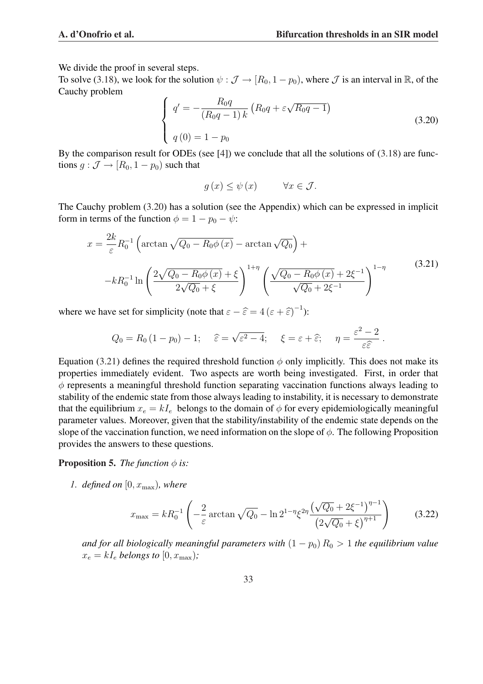We divide the proof in several steps.

To solve (3.18), we look for the solution  $\psi : \mathcal{J} \to [R_0, 1 - p_0)$ , where  $\mathcal{J}$  is an interval in R, of the Cauchy problem  $\overline{a}$ 

$$
\begin{cases}\n q' = -\frac{R_0 q}{(R_0 q - 1) k} \left( R_0 q + \varepsilon \sqrt{R_0 q - 1} \right) \\
q(0) = 1 - p_0\n\end{cases}
$$
\n(3.20)

By the comparison result for ODEs (see [4]) we conclude that all the solutions of (3.18) are functions  $g : \mathcal{J} \to [R_0, 1 - p_0)$  such that

$$
g(x) \le \psi(x) \qquad \forall x \in \mathcal{J}.
$$

The Cauchy problem (3.20) has a solution (see the Appendix) which can be expressed in implicit form in terms of the function  $\phi = 1 - p_0 - \psi$ :

$$
x = \frac{2k}{\varepsilon} R_0^{-1} \left( \arctan \sqrt{Q_0 - R_0 \phi(x)} - \arctan \sqrt{Q_0} \right) +
$$
  

$$
-kR_0^{-1} \ln \left( \frac{2\sqrt{Q_0 - R_0 \phi(x)} + \xi}{2\sqrt{Q_0} + \xi} \right)^{1+\eta} \left( \frac{\sqrt{Q_0 - R_0 \phi(x)} + 2\xi^{-1}}{\sqrt{Q_0} + 2\xi^{-1}} \right)^{1-\eta}
$$
(3.21)

where we have set for simplicity (note that  $\varepsilon - \hat{\varepsilon} = 4 (\varepsilon + \hat{\varepsilon})^{-1}$ ):

$$
Q_0 = R_0 (1 - p_0) - 1; \quad \widehat{\varepsilon} = \sqrt{\varepsilon^2 - 4}; \quad \xi = \varepsilon + \widehat{\varepsilon}; \quad \eta = \frac{\varepsilon^2 - 2}{\varepsilon \widehat{\varepsilon}}.
$$

Equation (3.21) defines the required threshold function  $\phi$  only implicitly. This does not make its properties immediately evident. Two aspects are worth being investigated. First, in order that  $\phi$  represents a meaningful threshold function separating vaccination functions always leading to stability of the endemic state from those always leading to instability, it is necessary to demonstrate that the equilibrium  $x_e = kI_e$  belongs to the domain of  $\phi$  for every epidemiologically meaningful parameter values. Moreover, given that the stability/instability of the endemic state depends on the slope of the vaccination function, we need information on the slope of  $\phi$ . The following Proposition provides the answers to these questions.

**Proposition 5.** *The function*  $\phi$  *is:* 

*1. defined on*  $[0, x_{\text{max}})$ *, where* 

$$
x_{\max} = kR_0^{-1} \left( -\frac{2}{\varepsilon} \arctan \sqrt{Q_0} - \ln 2^{1-\eta} \xi^{2\eta} \frac{\left(\sqrt{Q_0} + 2\xi^{-1}\right)^{\eta - 1}}{\left(2\sqrt{Q_0} + \xi\right)^{\eta + 1}} \right) \tag{3.22}
$$

*and for all biologically meaningful parameters with*  $(1 - p_0) R_0 > 1$  *the equilibrium value*  $x_e = kI_e$  *belongs to*  $[0, x_{\text{max}})$ ;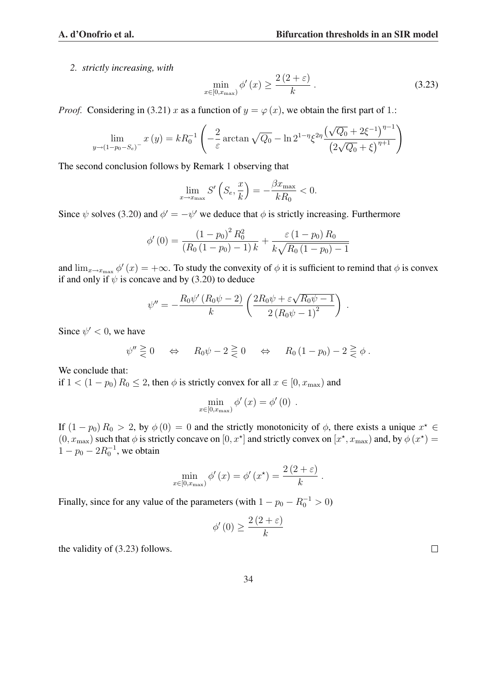*2. strictly increasing, with*

$$
\min_{x \in [0, x_{\text{max}})} \phi'(x) \ge \frac{2\left(2 + \varepsilon\right)}{k} \,. \tag{3.23}
$$

*Proof.* Considering in (3.21) x as a function of  $y = \varphi(x)$ , we obtain the first part of 1.:

$$
\lim_{y \to (1-p_0-S_e)^{-}} x(y) = kR_0^{-1} \left( -\frac{2}{\varepsilon} \arctan \sqrt{Q_0} - \ln 2^{1-\eta} \xi^{2\eta} \frac{(\sqrt{Q_0} + 2\xi^{-1})^{\eta-1}}{(2\sqrt{Q_0} + \xi)^{\eta+1}} \right)
$$

The second conclusion follows by Remark 1 observing that

$$
\lim_{x \to x_{\text{max}}} S' \left( S_e, \frac{x}{k} \right) = -\frac{\beta x_{\text{max}}}{kR_0} < 0.
$$

Since  $\psi$  solves (3.20) and  $\phi' = -\psi'$  we deduce that  $\phi$  is strictly increasing. Furthermore

$$
\phi'(0) = \frac{(1 - p_0)^2 R_0^2}{(R_0 (1 - p_0) - 1) k} + \frac{\varepsilon (1 - p_0) R_0}{k \sqrt{R_0 (1 - p_0) - 1}}
$$

and  $\lim_{x\to x_{\text{max}}} \phi'(x) = +\infty$ . To study the convexity of  $\phi$  it is sufficient to remind that  $\phi$  is convex if and only if  $\psi$  is concave and by (3.20) to deduce

$$
\psi'' = -\frac{R_0 \psi'(R_0 \psi - 2)}{k} \left( \frac{2R_0 \psi + \varepsilon \sqrt{R_0 \psi - 1}}{2 \left( R_0 \psi - 1 \right)^2} \right) .
$$

Since  $\psi' < 0$ , we have

$$
\psi'' \geq 0 \quad \Leftrightarrow \quad R_0 \psi - 2 \geq 0 \quad \Leftrightarrow \quad R_0 (1 - p_0) - 2 \geq \phi.
$$

We conclude that:

if  $1 < (1 - p_0) R_0 \le 2$ , then  $\phi$  is strictly convex for all  $x \in [0, x_{\text{max}})$  and

$$
\min_{x \in [0, x_{\text{max}})} \phi'(x) = \phi'(0) .
$$

If  $(1 - p_0) R_0 > 2$ , by  $\phi(0) = 0$  and the strictly monotonicity of  $\phi$ , there exists a unique  $x^* \in$  $(0, x_{\text{max}})$  such that  $\phi$  is strictly concave on  $[0, x^*]$  and strictly convex on  $[x^*, x_{\text{max}})$  and, by  $\phi(x^*)$  =  $1 - p_0 - 2R_0^{-1}$ , we obtain

$$
\min_{x \in [0, x_{\text{max}})} \phi'(x) = \phi'(x^*) = \frac{2(2+\varepsilon)}{k}.
$$

Finally, since for any value of the parameters (with  $1 - p_0 - R_0^{-1} > 0$ )

$$
\phi'(0) \ge \frac{2(2+\varepsilon)}{k}
$$

the validity of (3.23) follows.

 $\Box$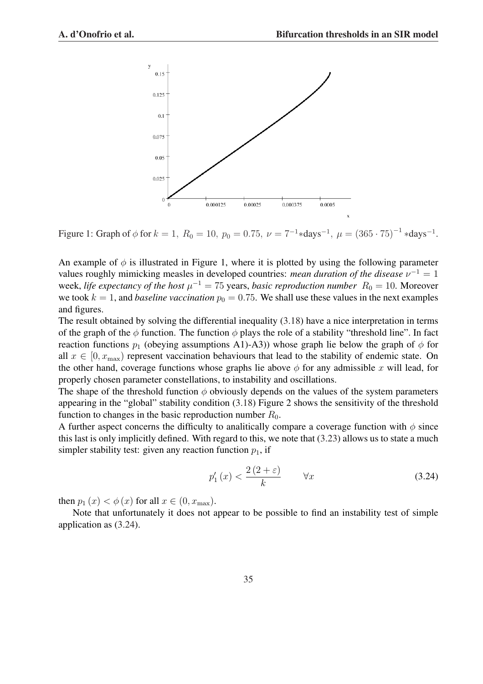

Figure 1: Graph of  $\phi$  for  $k = 1$ ,  $R_0 = 10$ ,  $p_0 = 0.75$ ,  $\nu = 7^{-1} * days^{-1}$ ,  $\mu = (365 \cdot 75)^{-1} * days^{-1}$ .

An example of  $\phi$  is illustrated in Figure 1, where it is plotted by using the following parameter values roughly mimicking measles in developed countries: *mean duration of the disease*  $\nu^{-1} = 1$ week, *life expectancy of the host*  $\mu^{-1} = 75$  years, *basic reproduction number*  $R_0 = 10$ . Moreover we took  $k = 1$ , and *baseline vaccination*  $p_0 = 0.75$ . We shall use these values in the next examples and figures.

The result obtained by solving the differential inequality (3.18) have a nice interpretation in terms of the graph of the  $\phi$  function. The function  $\phi$  plays the role of a stability "threshold line". In fact reaction functions  $p_1$  (obeying assumptions A1)-A3)) whose graph lie below the graph of  $\phi$  for all  $x \in [0, x_{\text{max}})$  represent vaccination behaviours that lead to the stability of endemic state. On the other hand, coverage functions whose graphs lie above  $\phi$  for any admissible x will lead, for properly chosen parameter constellations, to instability and oscillations.

The shape of the threshold function  $\phi$  obviously depends on the values of the system parameters appearing in the "global" stability condition (3.18) Figure 2 shows the sensitivity of the threshold function to changes in the basic reproduction number  $R_0$ .

A further aspect concerns the difficulty to analitically compare a coverage function with  $\phi$  since this last is only implicitly defined. With regard to this, we note that (3.23) allows us to state a much simpler stability test: given any reaction function  $p_1$ , if

$$
p_1'(x) < \frac{2\left(2+\varepsilon\right)}{k} \qquad \forall x \tag{3.24}
$$

then  $p_1(x) < \phi(x)$  for all  $x \in (0, x_{\text{max}})$ .

Note that unfortunately it does not appear to be possible to find an instability test of simple application as (3.24).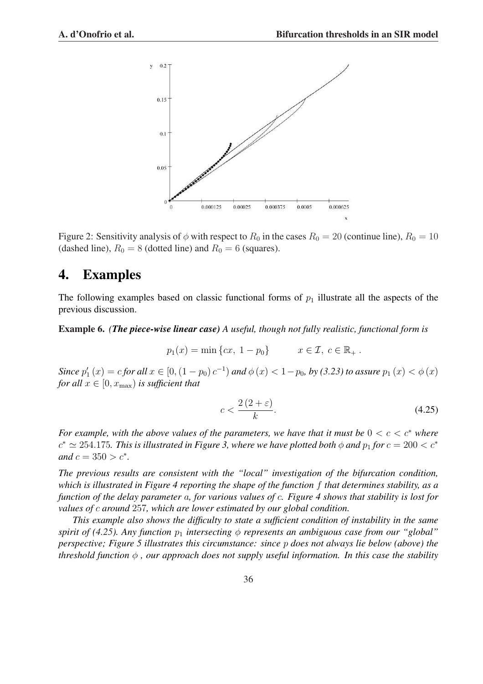

Figure 2: Sensitivity analysis of  $\phi$  with respect to  $R_0$  in the cases  $R_0 = 20$  (continue line),  $R_0 = 10$ (dashed line),  $R_0 = 8$  (dotted line) and  $R_0 = 6$  (squares).

## 4. Examples

The following examples based on classic functional forms of  $p_1$  illustrate all the aspects of the previous discussion.

Example 6. *(The piece-wise linear case) A useful, though not fully realistic, functional form is*

$$
p_1(x) = \min \{cx, 1 - p_0\}
$$
  $x \in \mathcal{I}, c \in \mathbb{R}_+$ .

*Since*  $p'_1(x) = c$  *for all*  $x \in [0, (1 - p_0) c^{-1})$  *and*  $\phi(x) < 1 - p_0$ *, by (3.23) to assure*  $p_1(x) < \phi(x)$ *for all*  $x \in [0, x_{\text{max}})$  *is sufficient that* 

$$
c < \frac{2\left(2+\varepsilon\right)}{k}.\tag{4.25}
$$

*For example, with the above values of the parameters, we have that it must be*  $0 < c < c^*$  *where*  $c^* \simeq 254.175$ . This is illustrated in Figure 3, where we have plotted both  $\phi$  and  $p_1$  for  $c = 200 < c^*$ *and*  $c = 350 > c^*$ .

*The previous results are consistent with the "local" investigation of the bifurcation condition, which is illustrated in Figure 4 reporting the shape of the function* f *that determines stability, as a function of the delay parameter* a*, for various values of* c*. Figure 4 shows that stability is lost for values of* c *around* 257*, which are lower estimated by our global condition.*

*This example also shows the difficulty to state a sufficient condition of instability in the same spirit of (4.25). Any function*  $p_1$  *intersecting*  $\phi$  *represents an ambiguous case from our "global" perspective; Figure 5 illustrates this circumstance: since* p *does not always lie below (above) the threshold function*  $\phi$ , *our approach does not supply useful information. In this case the stability*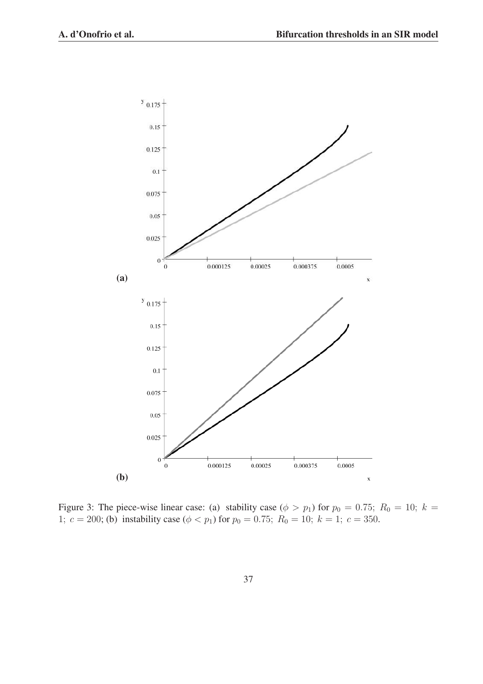

Figure 3: The piece-wise linear case: (a) stability case ( $\phi > p_1$ ) for  $p_0 = 0.75$ ;  $R_0 = 10$ ;  $k =$ 1;  $c = 200$ ; (b) instability case ( $\phi < p_1$ ) for  $p_0 = 0.75$ ;  $R_0 = 10$ ;  $k = 1$ ;  $c = 350$ .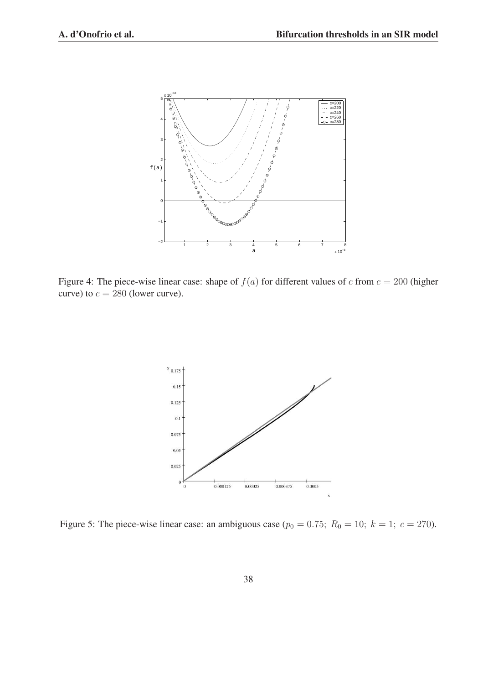

Figure 4: The piece-wise linear case: shape of  $f(a)$  for different values of c from  $c = 200$  (higher curve) to  $c = 280$  (lower curve).



Figure 5: The piece-wise linear case: an ambiguous case ( $p_0 = 0.75$ ;  $R_0 = 10$ ;  $k = 1$ ;  $c = 270$ ).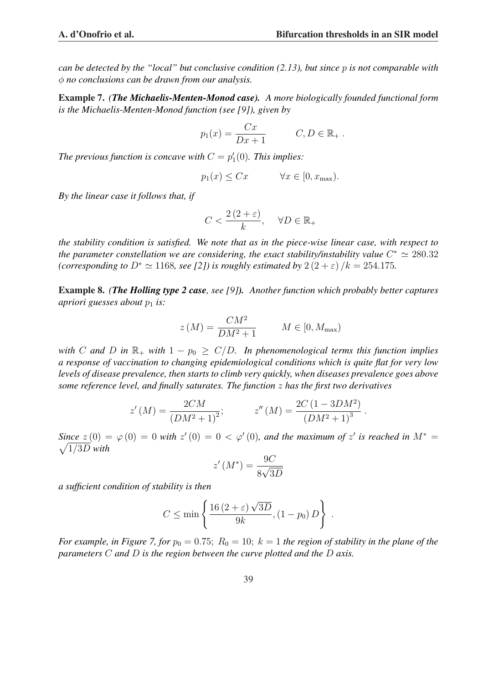Example 7. *(The Michaelis-Menten-Monod case). A more biologically founded functional form is the Michaelis-Menten-Monod function (see [9]), given by*

$$
p_1(x) = \frac{Cx}{Dx + 1} \qquad C, D \in \mathbb{R}_+ \, .
$$

The previous function is concave with  $C = p'_1(0)$ . This implies:

$$
p_1(x) \le Cx \qquad \forall x \in [0, x_{\text{max}}).
$$

*By the linear case it follows that, if*

$$
C < \frac{2\left(2+\varepsilon\right)}{k}, \quad \forall D \in \mathbb{R}_+
$$

*the stability condition is satisfied. We note that as in the piece-wise linear case, with respect to* the parameter constellation we are considering, the exact stability/instability value  $C^* \simeq 280.32$ *(corresponding to*  $D^* \simeq 1168$ *, see [2]) is roughly estimated by*  $2(2+\varepsilon)/k = 254.175$ *.* 

Example 8. *(The Holling type 2 case, see [9]). Another function which probably better captures apriori guesses about*  $p_1$  *is:* 

$$
z\left(M\right) = \frac{CM^2}{DM^2 + 1} \qquad M \in [0, M_{\text{max}})
$$

*with* C and D in  $\mathbb{R}_+$  *with*  $1 - p_0 \ge C/D$ . In phenomenological terms this function implies *a response of vaccination to changing epidemiological conditions which is quite flat for very low levels of disease prevalence, then starts to climb very quickly, when diseases prevalence goes above some reference level, and finally saturates. The function* z *has the first two derivatives*

$$
z'(M) = \frac{2CM}{(DM^2 + 1)^2}; \qquad z''(M) = \frac{2C(1 - 3DM^2)}{(DM^2 + 1)^3}.
$$

 $Sine \ z(0) = \varphi(0) = 0$  with  $z'(0) = 0 < \varphi'(0)$ , and the maximum of  $z'$  is reached in  $M^* =$  $\sqrt{1/3D}$  with

$$
z'(M^*) = \frac{9C}{8\sqrt{3D}}
$$

*a sufficient condition of stability is then*

$$
C \le \min\left\{\frac{16\left(2+\varepsilon\right)\sqrt{3D}}{9k}, \left(1-p_0\right)D\right\}
$$

.

*For example, in Figure 7, for*  $p_0 = 0.75$ ;  $R_0 = 10$ ;  $k = 1$  *the region of stability in the plane of the parameters* C *and* D *is the region between the curve plotted and the* D *axis.*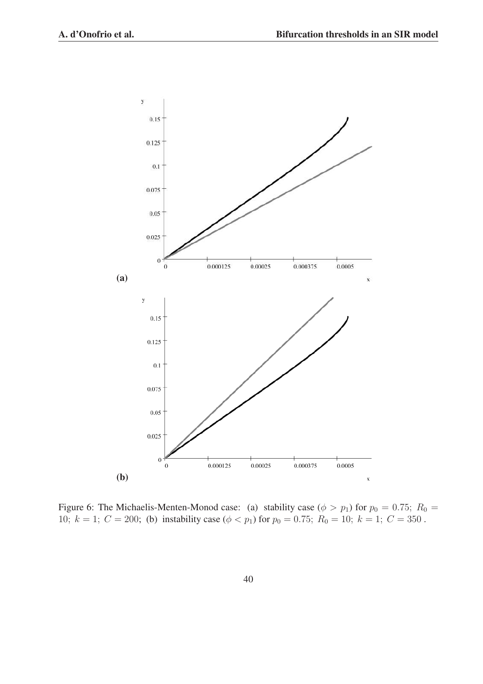

Figure 6: The Michaelis-Menten-Monod case: (a) stability case ( $\phi > p_1$ ) for  $p_0 = 0.75$ ;  $R_0 =$ 10;  $k = 1$ ;  $C = 200$ ; (b) instability case ( $\phi < p_1$ ) for  $p_0 = 0.75$ ;  $R_0 = 10$ ;  $k = 1$ ;  $C = 350$ .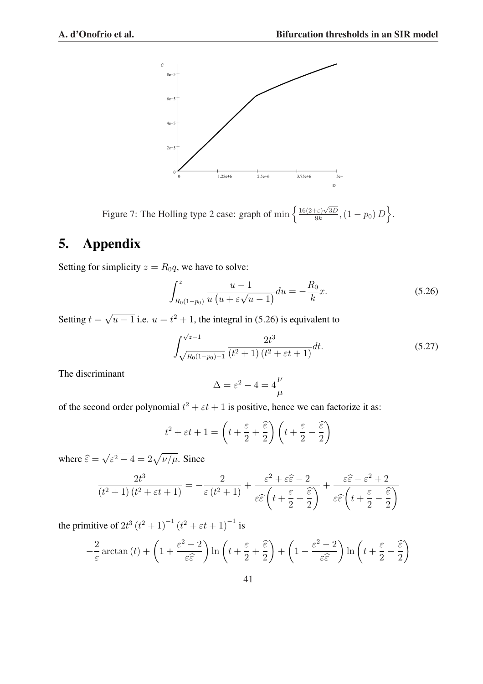

Figure 7: The Holling type 2 case: graph of  $\min \left\{ \frac{16(2+\epsilon)\sqrt{3D}}{9k} \right\}$  $\frac{\partial^2 \epsilon}{\partial k}$ ,  $(1-p_0) D$ o .

# 5. Appendix

Setting for simplicity  $z = R_0q$ , we have to solve:

$$
\int_{R_0(1-p_0)}^z \frac{u-1}{u(u+\varepsilon\sqrt{u-1})} du = -\frac{R_0}{k}x.
$$
\n(5.26)

Setting  $t =$ √  $\overline{u-1}$  i.e.  $u=t^2+1$ , the integral in (5.26) is equivalent to

$$
\int_{\sqrt{R_0(1-p_0)-1}}^{\sqrt{z-1}} \frac{2t^3}{(t^2+1)(t^2+\varepsilon t+1)} dt.
$$
 (5.27)

The discriminant

$$
\Delta = \varepsilon^2 - 4 = 4\frac{\nu}{\mu}
$$

of the second order polynomial  $t^2 + \varepsilon t + 1$  is positive, hence we can factorize it as:

$$
t^2 + \varepsilon t + 1 = \left( t + \frac{\varepsilon}{2} + \frac{\widehat{\varepsilon}}{2} \right) \left( t + \frac{\varepsilon}{2} - \frac{\widehat{\varepsilon}}{2} \right)
$$

where  $\widehat{\varepsilon}$  = √  $\sqrt{\varepsilon^2 - 4} = 2\sqrt{\nu/\mu}$ . Since

$$
\frac{2t^3}{(t^2+1)(t^2+\varepsilon t+1)} = -\frac{2}{\varepsilon(t^2+1)} + \frac{\varepsilon^2 + \varepsilon \widehat{\varepsilon} - 2}{\varepsilon \widehat{\varepsilon}\left(t + \frac{\varepsilon}{2} + \frac{\widehat{\varepsilon}}{2}\right)} + \frac{\varepsilon \widehat{\varepsilon} - \varepsilon^2 + 2}{\varepsilon \widehat{\varepsilon}\left(t + \frac{\varepsilon}{2} - \frac{\widehat{\varepsilon}}{2}\right)}
$$

the primitive of  $2t^3 (t^2 + 1)^{-1} (t^2 + \varepsilon t + 1)^{-1}$  is

$$
-\frac{2}{\varepsilon}\arctan(t) + \left(1 + \frac{\varepsilon^2 - 2}{\varepsilon \widehat{\varepsilon}}\right) \ln\left(t + \frac{\varepsilon}{2} + \frac{\widehat{\varepsilon}}{2}\right) + \left(1 - \frac{\varepsilon^2 - 2}{\varepsilon \widehat{\varepsilon}}\right) \ln\left(t + \frac{\varepsilon}{2} - \frac{\widehat{\varepsilon}}{2}\right)
$$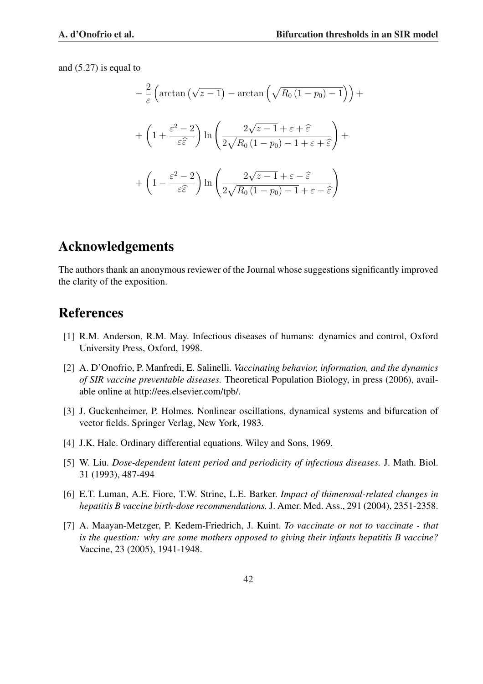and (5.27) is equal to

$$
-\frac{2}{\varepsilon} \left( \arctan\left(\sqrt{z-1}\right) - \arctan\left(\sqrt{R_0\left(1-p_0\right)-1}\right) \right) +
$$

$$
+\left(1 + \frac{\varepsilon^2 - 2}{\varepsilon \hat{\varepsilon}}\right) \ln\left(\frac{2\sqrt{z-1} + \varepsilon + \hat{\varepsilon}}{2\sqrt{R_0\left(1-p_0\right)-1} + \varepsilon + \hat{\varepsilon}}\right) +
$$

$$
+\left(1 - \frac{\varepsilon^2 - 2}{\varepsilon \hat{\varepsilon}}\right) \ln\left(\frac{2\sqrt{z-1} + \varepsilon - \hat{\varepsilon}}{2\sqrt{R_0\left(1-p_0\right)-1} + \varepsilon - \hat{\varepsilon}}\right)
$$

## Acknowledgements

The authors thank an anonymous reviewer of the Journal whose suggestions significantly improved the clarity of the exposition.

## References

- [1] R.M. Anderson, R.M. May. Infectious diseases of humans: dynamics and control, Oxford University Press, Oxford, 1998.
- [2] A. D'Onofrio, P. Manfredi, E. Salinelli. *Vaccinating behavior, information, and the dynamics of SIR vaccine preventable diseases.* Theoretical Population Biology, in press (2006), available online at http://ees.elsevier.com/tpb/.
- [3] J. Guckenheimer, P. Holmes. Nonlinear oscillations, dynamical systems and bifurcation of vector fields. Springer Verlag, New York, 1983.
- [4] J.K. Hale. Ordinary differential equations. Wiley and Sons, 1969.
- [5] W. Liu. *Dose-dependent latent period and periodicity of infectious diseases.* J. Math. Biol. 31 (1993), 487-494
- [6] E.T. Luman, A.E. Fiore, T.W. Strine, L.E. Barker. *Impact of thimerosal-related changes in hepatitis B vaccine birth-dose recommendations.* J. Amer. Med. Ass., 291 (2004), 2351-2358.
- [7] A. Maayan-Metzger, P. Kedem-Friedrich, J. Kuint. *To vaccinate or not to vaccinate that is the question: why are some mothers opposed to giving their infants hepatitis B vaccine?* Vaccine, 23 (2005), 1941-1948.